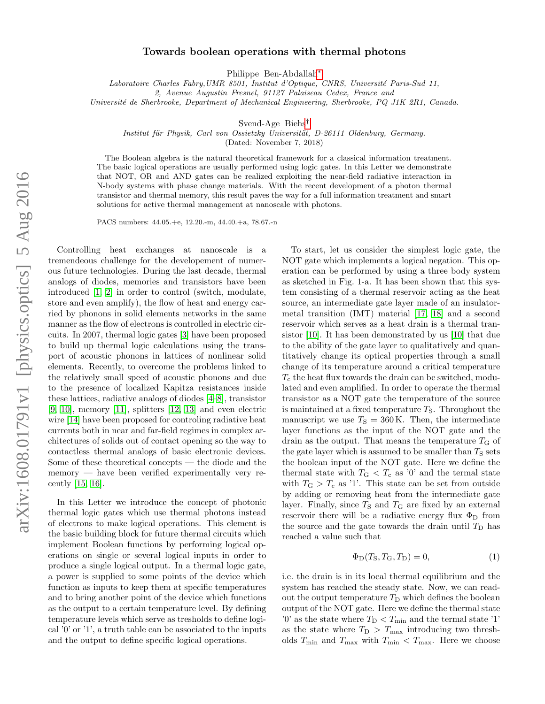## Towards boolean operations with thermal photons

Philippe Ben-Abdallah[∗](#page-4-0)

Laboratoire Charles Fabry, UMR 8501, Institut d'Optique, CNRS, Université Paris-Sud 11,

2, Avenue Augustin Fresnel, 91127 Palaiseau Cedex, France and

Université de Sherbrooke, Department of Mechanical Engineering, Sherbrooke, PQ J1K 2R1, Canada.

Svend-Age Biehs[†](#page-4-1)

Institut für Physik, Carl von Ossietzky Universität, D-26111 Oldenburg, Germany.

(Dated: November 7, 2018)

The Boolean algebra is the natural theoretical framework for a classical information treatment. The basic logical operations are usually performed using logic gates. In this Letter we demonstrate that NOT, OR and AND gates can be realized exploiting the near-field radiative interaction in N-body systems with phase change materials. With the recent development of a photon thermal transistor and thermal memory, this result paves the way for a full information treatment and smart solutions for active thermal management at nanoscale with photons.

PACS numbers: 44.05.+e, 12.20.-m, 44.40.+a, 78.67.-n

Controlling heat exchanges at nanoscale is a tremendeous challenge for the developement of numerous future technologies. During the last decade, thermal analogs of diodes, memories and transistors have been introduced [\[1,](#page-4-2) [2\]](#page-4-3) in order to control (switch, modulate, store and even amplify), the flow of heat and energy carried by phonons in solid elements networks in the same manner as the flow of electrons is controlled in electric circuits. In 2007, thermal logic gates [\[3\]](#page-4-4) have been proposed to build up thermal logic calculations using the transport of acoustic phonons in lattices of nonlinear solid elements. Recently, to overcome the problems linked to the relatively small speed of acoustic phonons and due to the presence of localized Kapitza resistances inside these lattices, radiative analogs of diodes [\[4–](#page-4-5)[8\]](#page-4-6), transistor [\[9,](#page-4-7) [10\]](#page-4-8), memory [\[11\]](#page-4-9), splitters [\[12,](#page-4-10) [13\]](#page-4-11) and even electric wire [\[14\]](#page-4-12) have been proposed for controling radiative heat currents both in near and far-field regimes in complex architectures of solids out of contact opening so the way to contactless thermal analogs of basic electronic devices. Some of these theoretical concepts — the diode and the memory — have been verified experimentally very recently [\[15,](#page-4-13) [16\]](#page-4-14).

In this Letter we introduce the concept of photonic thermal logic gates which use thermal photons instead of electrons to make logical operations. This element is the basic building block for future thermal circuits which implement Boolean functions by performing logical operations on single or several logical inputs in order to produce a single logical output. In a thermal logic gate, a power is supplied to some points of the device which function as inputs to keep them at specific temperatures and to bring another point of the device which functions as the output to a certain temperature level. By defining temperature levels which serve as tresholds to define logical '0' or '1', a truth table can be associated to the inputs and the output to define specific logical operations.

To start, let us consider the simplest logic gate, the NOT gate which implements a logical negation. This operation can be performed by using a three body system as sketched in Fig. 1-a. It has been shown that this system consisting of a thermal reservoir acting as the heat source, an intermediate gate layer made of an insulatormetal transition (IMT) material [\[17,](#page-4-15) [18\]](#page-4-16) and a second reservoir which serves as a heat drain is a thermal transistor [\[10\]](#page-4-8). It has been demonstrated by us [\[10\]](#page-4-8) that due to the ability of the gate layer to qualitatively and quantitatively change its optical properties through a small change of its temperature around a critical temperature  $T_c$  the heat flux towards the drain can be switched, modulated and even amplified. In order to operate the thermal transistor as a NOT gate the temperature of the source is maintained at a fixed temperature  $T<sub>S</sub>$ . Throughout the manuscript we use  $T<sub>S</sub> = 360$  K. Then, the intermediate layer functions as the input of the NOT gate and the drain as the output. That means the temperature  $T_{\rm G}$  of the gate layer which is assumed to be smaller than  $T<sub>S</sub>$  sets the boolean input of the NOT gate. Here we define the thermal state with  $T_{\text{G}} < T_{\text{c}}$  as '0' and the termal state with  $T_{\rm G} > T_{\rm c}$  as '1'. This state can be set from outside by adding or removing heat from the intermediate gate layer. Finally, since  $T<sub>S</sub>$  and  $T<sub>G</sub>$  are fixed by an external reservoir there will be a radiative energy flux  $\Phi_D$  from the source and the gate towards the drain until  $T_D$  has reached a value such that

<span id="page-0-0"></span>
$$
\Phi_{\mathcal{D}}(T_{\mathcal{S}}, T_{\mathcal{G}}, T_{\mathcal{D}}) = 0,\tag{1}
$$

i.e. the drain is in its local thermal equilibrium and the system has reached the steady state. Now, we can readout the output temperature  $T_{\text{D}}$  which defines the boolean output of the NOT gate. Here we define the thermal state '0' as the state where  $T_D < T_{\text{min}}$  and the termal state '1' as the state where  $T_D > T_{\text{max}}$  introducing two thresholds  $T_{\min}$  and  $T_{\max}$  with  $T_{\min} < T_{\max}$ . Here we choose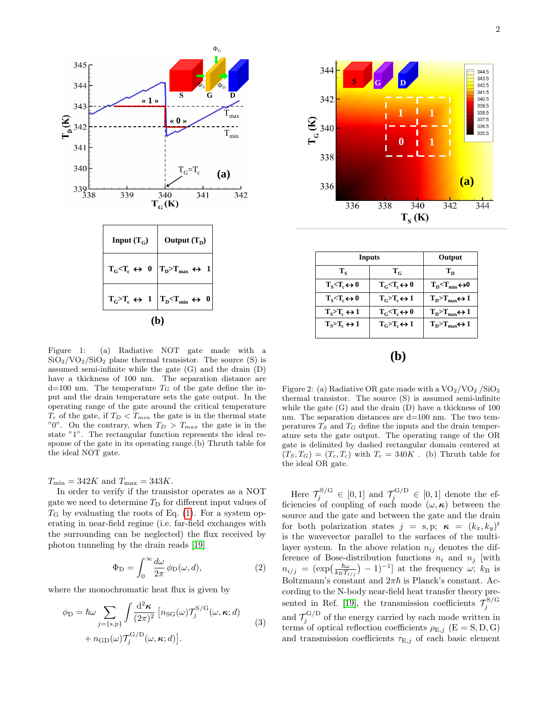

Figure 1: (a) Radiative NOT gate made with a  $SiO<sub>2</sub>/VO<sub>2</sub>/SiO<sub>2</sub>$  plane thermal transistor. The source (S) is assumed semi-infinite while the gate (G) and the drain (D) have a tkickness of 100 nm. The separation distance are  $d=100$  nm. The temperature  $T_G$  of the gate define the input and the drain temperature sets the gate output. In the operating range of the gate around the critical temperature  $T_c$  of the gate, if  $T_D < T_{min}$  the gate is in the thermal state "0". On the contrary, when  $T_D > T_{max}$  the gate is in the state "1". The rectangular function represents the ideal response of the gate in its operating range.(b) Thruth table for the ideal NOT gate.

 $T_{\min} = 342K$  and  $T_{\max} = 343K$ .

In order to verify if the transistor operates as a NOT gate we need to determine  $T_D$  for different input values of  $T<sub>G</sub>$  by evaluating the roots of Eq. [\(1\)](#page-0-0). For a system operating in near-field regime (i.e. far-field exchanges with the surrounding can be neglected) the flux received by photon tunneling by the drain reads [\[19\]](#page-4-17)

<span id="page-1-0"></span>
$$
\Phi_{\mathcal{D}} = \int_0^\infty \frac{d\omega}{2\pi} \,\phi_{\mathcal{D}}(\omega, d),\tag{2}
$$

where the monochromatic heat flux is given by

$$
\phi_{\rm D} = \hbar \omega \sum_{j=\{s,\rm p\}} \int \frac{\mathrm{d}^2 \kappa}{(2\pi)^2} \left[ n_{\rm SG}(\omega) \mathcal{T}_j^{S/G}(\omega,\kappa;d) \right. \\ + n_{\rm GD}(\omega) \mathcal{T}_j^{\rm G/D}(\omega,\kappa;d) \right]. \tag{3}
$$



| Inputs                        | Output                        |                                                 |
|-------------------------------|-------------------------------|-------------------------------------------------|
| $T_{\rm c}$                   | $T_c$                         | $T_{\rm n}$                                     |
| $T_s < T_c \leftrightarrow 0$ | $T_c < T_c \leftrightarrow 0$ | $T_{\rm p} < T_{\rm min} \leftrightarrow 0$     |
| $T_s < T_c \leftrightarrow 0$ | $T_c > T_c \leftrightarrow 1$ | $T_{\rm D} > T_{\rm max} \leftrightarrow 1$     |
| $T_s > T_c \leftrightarrow 1$ | $T_c < T_c \leftrightarrow 0$ | $T_{\rm D} > T_{\rm max} \leftrightarrow 1$     |
| $T_s > T_c \leftrightarrow 1$ | $T_c > T_c \leftrightarrow 1$ | $T_{\rm D}$ > $T_{\rm max}$ $\leftrightarrow$ 1 |
|                               |                               |                                                 |

Figure 2: (a) Radiative OR gate made with a  $\rm{VO_2/VO_2/SiO_2}$ thermal transistor. The source (S) is assumed semi-infinite while the gate (G) and the drain (D) have a tkickness of 100 nm. The separation distances are  $d=100$  nm. The two temperatures  $T<sub>S</sub>$  and  $T<sub>G</sub>$  define the inputs and the drain temperature sets the gate output. The operating range of the OR gate is delimited by dashed rectangular domain centered at  $(T_S, T_G) = (T_c, T_c)$  with  $T_c = 340K$ . (b) Thruth table for the ideal OR gate.

Here  $\mathcal{T}_j^{S/G} \in [0,1]$  and  $\mathcal{T}_j^{G/D} \in [0,1]$  denote the efficiencies of coupling of each mode  $(\omega, \kappa)$  between the source and the gate and between the gate and the drain for both polarization states  $j = s, p; \kappa = (k_x, k_y)^t$ is the wavevector parallel to the surfaces of the multilayer system. In the above relation  $n_{ij}$  denotes the difference of Bose-distribution functions  $n_i$  and  $n_j$  [with  $n_{i/j} = (\exp(\frac{\hbar \omega}{k_B T_i})$  $\frac{\hbar\omega}{k_{\rm B}T_{i/j}}$  – 1)<sup>-1</sup>] at the frequency  $\omega$ ;  $k_{\rm B}$  is Boltzmann's constant and  $2\pi\hbar$  is Planck's constant. According to the N-body near-field heat transfer theory pre-sented in Ref. [\[19\]](#page-4-17), the transmission coefficients  $\mathcal{T}_j^{S/G}$ and  $\mathcal{T}_j^{\text{G/D}}$  of the energy carried by each mode written in terms of optical reflection coefficients  $\rho_{E,j}$  (E = S, D, G) and transmission coefficients  $\tau_{\text{E},j}$  of each basic element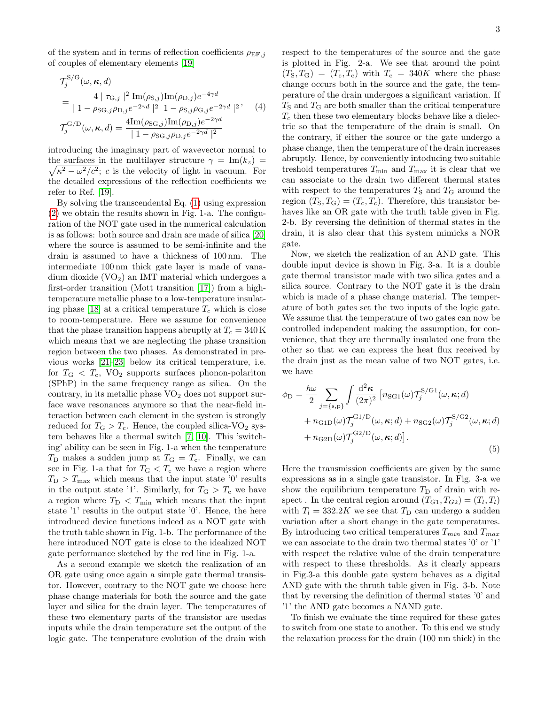of the system and in terms of reflection coefficients  $\rho_{EF,j}$ of couples of elementary elements [\[19\]](#page-4-17)

$$
\mathcal{T}_{j}^{\text{S/G}}(\omega, \kappa, d)
$$
\n
$$
= \frac{4 \mid \tau_{\text{G},j} \mid^{2} \text{Im}(\rho_{\text{S},j}) \text{Im}(\rho_{\text{D},j}) e^{-4\gamma d}}{|1 - \rho_{\text{SG},j} \rho_{\text{D},j} e^{-2\gamma d} \mid^{2} |1 - \rho_{\text{S},j} \rho_{\text{G},j} e^{-2\gamma d} \mid^{2}, \quad (4)
$$
\n
$$
\mathcal{T}_{j}^{\text{G/D}}(\omega, \kappa, d) = \frac{4 \text{Im}(\rho_{\text{SG},j}) \text{Im}(\rho_{\text{D},j}) e^{-2\gamma d}}{|1 - \rho_{\text{SG},j} \rho_{\text{D},j} e^{-2\gamma d} \mid^{2}}
$$

introducing the imaginary part of wavevector normal to the surfaces in the multilayer structure  $\gamma = \text{Im}(k_z)$  $\sqrt{\kappa^2 - \omega^2/c^2}$ ; c is the velocity of light in vacuum. For the detailed expressions of the reflection coefficients we refer to Ref. [\[19\]](#page-4-17).

By solving the transcendental Eq. [\(1\)](#page-0-0) using expression [\(2\)](#page-1-0) we obtain the results shown in Fig. 1-a. The configuration of the NOT gate used in the numerical calculation is as follows: both source and drain are made of silica [\[20\]](#page-4-18) where the source is assumed to be semi-infinite and the drain is assumed to have a thickness of 100 nm. The intermediate 100 nm thick gate layer is made of vanadium dioxide  $(VO<sub>2</sub>)$  an IMT material which undergoes a first-order transition (Mott transition [\[17\]](#page-4-15)) from a hightemperature metallic phase to a low-temperature insulat-ing phase [\[18\]](#page-4-16) at a critical temperature  $T_c$  which is close to room-temperature. Here we assume for convenience that the phase transition happens abruptly at  $T_c = 340 \,\mathrm{K}$ which means that we are neglecting the phase transition region between the two phases. As demonstrated in previous works [\[21](#page-4-19)[–23\]](#page-4-20) below its critical temperature, i.e. for  $T_{\rm G} < T_{\rm c}$ , VO<sub>2</sub> supports surfaces phonon-polariton (SPhP) in the same frequency range as silica. On the contrary, in its metallic phase  $VO<sub>2</sub>$  does not support surface wave resonances anymore so that the near-field interaction between each element in the system is strongly reduced for  $T_{\rm G} > T_{\rm c}$ . Hence, the coupled silica-VO<sub>2</sub> system behaves like a thermal switch [\[7,](#page-4-21) [10\]](#page-4-8). This 'switching' ability can be seen in Fig. 1-a when the temperature  $T_D$  makes a sudden jump at  $T_G = T_c$ . Finally, we can see in Fig. 1-a that for  $T_G < T_c$  we have a region where  $T_{\rm D}$  >  $T_{\rm max}$  which means that the input state '0' results in the output state '1'. Similarly, for  $T_{\rm G} > T_{\rm c}$  we have a region where  $T_D < T_{\text{min}}$  which means that the input state '1' results in the output state '0'. Hence, the here introduced device functions indeed as a NOT gate with the truth table shown in Fig. 1-b. The performance of the here introduced NOT gate is close to the idealized NOT gate performance sketched by the red line in Fig. 1-a.

As a second example we sketch the realization of an OR gate using once again a simple gate thermal transistor. However, contrary to the NOT gate we choose here phase change materials for both the source and the gate layer and silica for the drain layer. The temperatures of these two elementary parts of the transistor are usedas inputs while the drain temperature set the output of the logic gate. The temperature evolution of the drain with

respect to the temperatures of the source and the gate is plotted in Fig. 2-a. We see that around the point  $(T_S, T_G) = (T_c, T_c)$  with  $T_c = 340K$  where the phase change occurs both in the source and the gate, the temperature of the drain undergoes a significant variation. If  $T<sub>S</sub>$  and  $T<sub>G</sub>$  are both smaller than the critical temperature  $T_c$  then these two elementary blocks behave like a dielectric so that the temperature of the drain is small. On the contrary, if either the source or the gate undergo a phase change, then the temperature of the drain increases abruptly. Hence, by conveniently intoducing two suitable treshold temperatures  $T_{\min}$  and  $T_{\max}$  it is clear that we can associate to the drain two different thermal states with respect to the temperatures  $T<sub>S</sub>$  and  $T<sub>G</sub>$  around the region  $(T_S, T_G) = (T_c, T_c)$ . Therefore, this transistor behaves like an OR gate with the truth table given in Fig. 2-b. By reversing the definition of thermal states in the drain, it is also clear that this system mimicks a NOR gate.

Now, we sketch the realization of an AND gate. This double input device is shown in Fig. 3-a. It is a double gate thermal transistor made with two silica gates and a silica source. Contrary to the NOT gate it is the drain which is made of a phase change material. The temperature of both gates set the two inputs of the logic gate. We assume that the temperature of two gates can now be controlled independent making the assumption, for convenience, that they are thermally insulated one from the other so that we can express the heat flux received by the drain just as the mean value of two NOT gates, i.e. we have

$$
\phi_{\rm D} = \frac{\hbar \omega}{2} \sum_{j=\{\rm s,p\}} \int \frac{\mathrm{d}^2 \kappa}{(2\pi)^2} \left[ n_{\rm SG1}(\omega) \mathcal{T}_j^{S/G1}(\omega,\kappa;d) + n_{\rm GID}(\omega) \mathcal{T}_j^{\rm GI/D}(\omega,\kappa;d) + n_{\rm SG2}(\omega) \mathcal{T}_j^{S/G2}(\omega,\kappa;d) + n_{\rm G2D}(\omega) \mathcal{T}_j^{\rm G2/D}(\omega,\kappa;d) \right].
$$
\n(5)

Here the transmission coefficients are given by the same expressions as in a single gate transistor. In Fig. 3-a we show the equilibrium temperature  $T_D$  of drain with respect. In the central region around  $(T_{G1}, T_{G2}) = (T_l, T_l)$ with  $T_l = 332.2K$  we see that  $T_D$  can undergo a sudden variation after a short change in the gate temperatures. By introducing two critical temperatures  $T_{min}$  and  $T_{max}$ we can associate to the drain two thermal states '0' or '1' with respect the relative value of the drain temperature with respect to these thresholds. As it clearly appears in Fig.3-a this double gate system behaves as a digital AND gate with the thruth table given in Fig. 3-b. Note that by reversing the definition of thermal states '0' and '1' the AND gate becomes a NAND gate.

To finish we evaluate the time required for these gates to switch from one state to another. To this end we study the relaxation process for the drain (100 nm thick) in the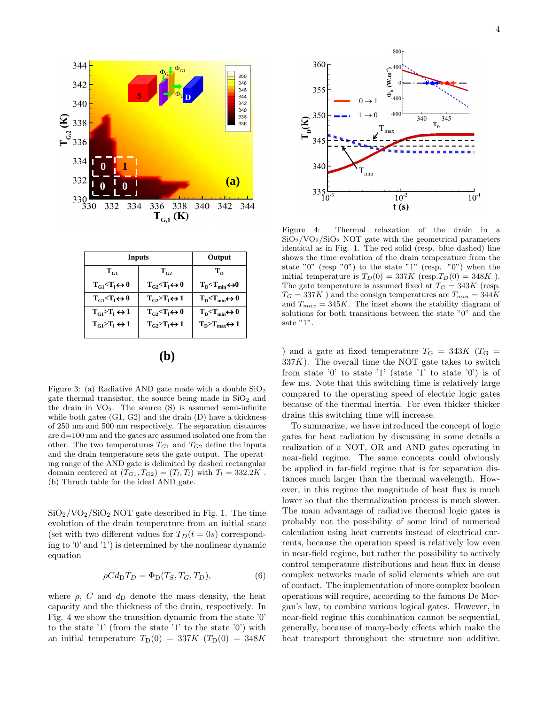

| Inputs                           | Output                                    |                                                                        |
|----------------------------------|-------------------------------------------|------------------------------------------------------------------------|
| $\rm T_{c1}$                     | $T_{c2}$                                  | Т <sub>в</sub>                                                         |
| $T_{c1} < T_1 \leftrightarrow 0$ | $T_c, T$ <sub>t</sub> $\leftrightarrow 0$ | $T_{\rm p}$ < $T_{\rm min}$ $\leftrightarrow$ 0                        |
| $T_{c1} < T_1 \leftrightarrow 0$ | $T_{G2} > T_1 \leftrightarrow 1$          | $T_{\rm n}$ $\left\langle T_{\rm min} \leftrightarrow 0 \right\rangle$ |
| $T_{G1} > T_1 \leftrightarrow 1$ | $T_{G2} < T_1 \leftrightarrow 0$          | $T_{\rm n}$ $\left\langle T_{\rm min} \leftrightarrow 0 \right\rangle$ |
| $T_{c1} > T_1 \leftrightarrow 1$ | $T_{G2} > T_1 \leftrightarrow 1$          | $T_{\rm D} > T_{\rm max} \leftrightarrow 1$                            |
|                                  |                                           |                                                                        |

Figure 3: (a) Radiative AND gate made with a double  $SiO<sub>2</sub>$ gate thermal transistor, the source being made in  $SiO<sub>2</sub>$  and the drain in  $VO<sub>2</sub>$ . The source  $(S)$  is assumed semi-infinite while both gates (G1, G2) and the drain (D) have a tkickness of 250 nm and 500 nm respectively. The separation distances are d=100 nm and the gates are assumed isolated one from the other. The two temperatures  $T_{G1}$  and  $T_{G2}$  define the inputs and the drain temperature sets the gate output. The operating range of the AND gate is delimited by dashed rectangular domain centered at  $(T_{G1}, T_{G2}) = (T_l, T_l)$  with  $T_l = 332.2K$ . (b) Thruth table for the ideal AND gate.

 $SiO<sub>2</sub>/VO<sub>2</sub>/SiO<sub>2</sub> NOT gate described in Fig. 1. The time$ evolution of the drain temperature from an initial state (set with two different values for  $T_D(t = 0s)$  corresponding to '0' and '1') is determined by the nonlinear dynamic equation

$$
\rho C d_{\rm D} \dot{T}_D = \Phi_{\rm D}(T_S, T_G, T_D),\tag{6}
$$

where  $\rho$ , C and  $d_D$  denote the mass density, the heat capacity and the thickness of the drain, respectively. In Fig. 4 we show the transition dynamic from the state '0' to the state '1' (from the state '1' to the state '0') with an initial temperature  $T_D(0) = 337K (T_D(0) = 348K)$ 



Figure 4: Thermal relaxation of the drain in a  $SiO<sub>2</sub>/VO<sub>2</sub>/SiO<sub>2</sub> NOT gate with the geometrical parameters$ identical as in Fig. 1. The red solid (resp. blue dashed) line shows the time evolution of the drain temperature from the state "0" (resp. "0") to the state "1" (resp. "0") when the initial temperature is  $T_D(0) = 337K$  (resp.  $T_D(0) = 348K$ ). The gate temperature is assumed fixed at  $T<sub>G</sub> = 343K$  (resp.  $T_G = 337K$  ) and the consign temperatures are  $T_{min} = 344K$ and  $T_{max} = 345K$ . The inset shows the stability diagram of solutions for both transitions between the state "0" and the sate "1".

) and a gate at fixed temperature  $T_{\text{G}} = 343K$  ( $T_{\text{G}} =$  $337K$ ). The overall time the NOT gate takes to switch from state '0' to state '1' (state '1' to state '0') is of few ms. Note that this switching time is relatively large compared to the operating speed of electric logic gates because of the thermal inertia. For even thicker thicker drains this switching time will increase.

To summarize, we have introduced the concept of logic gates for heat radiation by discussing in some details a realization of a NOT, OR and AND gates operating in near-field regime. The same concepts could obviously be applied in far-field regime that is for separation distances much larger than the thermal wavelength. However, in this regime the magnitude of heat flux is much lower so that the thermalization process is much slower. The main advantage of radiative thermal logic gates is probably not the possibility of some kind of numerical calculation using heat currents instead of electrical currents, because the operation speed is relatively low even in near-field regime, but rather the possibility to actively control temperature distributions and heat flux in dense complex networks made of solid elements which are out of contact. The implementation of more complex boolean operations will require, according to the famous De Morgan's law, to combine various logical gates. However, in near-field regime this combination cannot be sequential, generally, because of many-body effects which make the heat transport throughout the structure non additive.